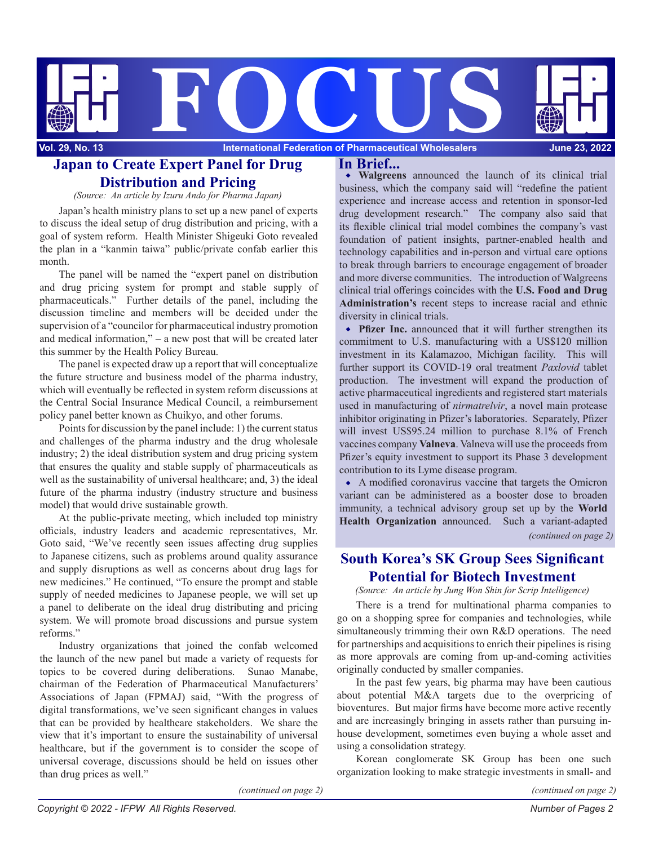

## **Japan to Create Expert Panel for Drug In Brief... Distribution and Pricing**

*(Source: An article by Izuru Ando for Pharma Japan)*

Japan's health ministry plans to set up a new panel of experts to discuss the ideal setup of drug distribution and pricing, with a goal of system reform. Health Minister Shigeuki Goto revealed the plan in a "kanmin taiwa" public/private confab earlier this month.

The panel will be named the "expert panel on distribution and drug pricing system for prompt and stable supply of pharmaceuticals." Further details of the panel, including the discussion timeline and members will be decided under the supervision of a "councilor for pharmaceutical industry promotion and medical information," – a new post that will be created later this summer by the Health Policy Bureau.

The panel is expected draw up a report that will conceptualize the future structure and business model of the pharma industry, which will eventually be reflected in system reform discussions at the Central Social Insurance Medical Council, a reimbursement policy panel better known as Chuikyo, and other forums.

Points for discussion by the panel include: 1) the current status and challenges of the pharma industry and the drug wholesale industry; 2) the ideal distribution system and drug pricing system that ensures the quality and stable supply of pharmaceuticals as well as the sustainability of universal healthcare; and, 3) the ideal future of the pharma industry (industry structure and business model) that would drive sustainable growth.

At the public-private meeting, which included top ministry officials, industry leaders and academic representatives, Mr. Goto said, "We've recently seen issues affecting drug supplies to Japanese citizens, such as problems around quality assurance and supply disruptions as well as concerns about drug lags for new medicines." He continued, "To ensure the prompt and stable supply of needed medicines to Japanese people, we will set up a panel to deliberate on the ideal drug distributing and pricing system. We will promote broad discussions and pursue system reforms."

Industry organizations that joined the confab welcomed the launch of the new panel but made a variety of requests for topics to be covered during deliberations. Sunao Manabe, chairman of the Federation of Pharmaceutical Manufacturers' Associations of Japan (FPMAJ) said, "With the progress of digital transformations, we've seen significant changes in values that can be provided by healthcare stakeholders. We share the view that it's important to ensure the sustainability of universal healthcare, but if the government is to consider the scope of universal coverage, discussions should be held on issues other than drug prices as well."

**Walgreens** announced the launch of its clinical trial business, which the company said will "redefine the patient experience and increase access and retention in sponsor-led drug development research." The company also said that its flexible clinical trial model combines the company's vast foundation of patient insights, partner-enabled health and technology capabilities and in-person and virtual care options to break through barriers to encourage engagement of broader and more diverse communities. The introduction of Walgreens clinical trial offerings coincides with the **U.S. Food and Drug Administration's** recent steps to increase racial and ethnic diversity in clinical trials.

**Pfizer Inc.** announced that it will further strengthen its commitment to U.S. manufacturing with a US\$120 million investment in its Kalamazoo, Michigan facility. This will further support its COVID-19 oral treatment *Paxlovid* tablet production. The investment will expand the production of active pharmaceutical ingredients and registered start materials used in manufacturing of *nirmatrelvir*, a novel main protease inhibitor originating in Pfizer's laboratories. Separately, Pfizer will invest US\$95.24 million to purchase 8.1% of French vaccines company **Valneva**. Valneva will use the proceeds from Pfizer's equity investment to support its Phase 3 development contribution to its Lyme disease program.

*(continued on page 2)* A modified coronavirus vaccine that targets the Omicron variant can be administered as a booster dose to broaden immunity, a technical advisory group set up by the **World Health Organization** announced. Such a variant-adapted

# **South Korea's SK Group Sees Significant Potential for Biotech Investment**

*(Source: An article by Jung Won Shin for Scrip Intelligence)*

There is a trend for multinational pharma companies to go on a shopping spree for companies and technologies, while simultaneously trimming their own R&D operations. The need for partnerships and acquisitions to enrich their pipelines is rising as more approvals are coming from up-and-coming activities originally conducted by smaller companies.

In the past few years, big pharma may have been cautious about potential M&A targets due to the overpricing of bioventures. But major firms have become more active recently and are increasingly bringing in assets rather than pursuing inhouse development, sometimes even buying a whole asset and using a consolidation strategy.

Korean conglomerate SK Group has been one such organization looking to make strategic investments in small- and

*(continued on page 2)*